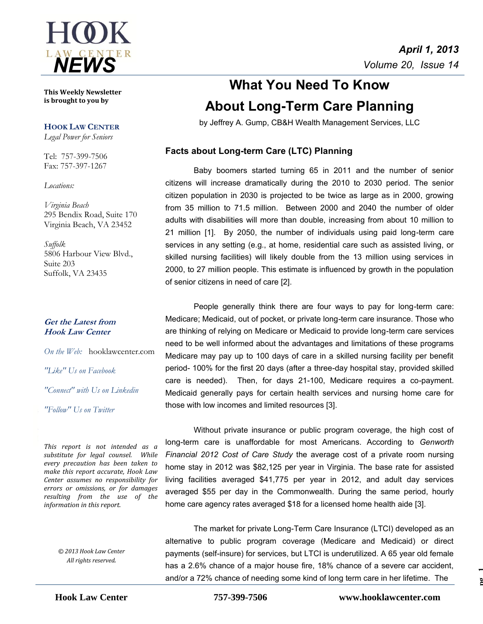

**This Weekly Newsletter is brought to you by** 

#### **HOOK LAW CENTER**

*Legal Power for Seniors*

Tel: 757-399-7506 Fax: 757-397-1267

*Locations:*

*Virginia Beach* 295 Bendix Road, Suite 170 Virginia Beach, VA 23452

*Suffolk* 5806 Harbour View Blvd., Suite 203 Suffolk, VA 23435

### **Get the Latest from Hook Law Center**

*On the Web:* [hooklawcenter.com](http://www.hooklawcenter.com/)

*"Like" Us on Facebook*

*"Connect" with Us on Linkedin*

*"Follow" Us on Twitter*

*This report is not intended as a substitute for legal counsel. While and the angle of the angle and the merculine has been taken to substitute for legal counsel. While every precaution has been taken to make this report accurate, Hook Law Center assumes no responsibility for errors or omissions, or for damages resulting from the use of the information in this report.*

> *© 2013 Hook Law Center All rights reserved.*

# **What You Need To Know About Long-Term Care Planning**

by Jeffrey A. Gump, CB&H Wealth Management Services, LLC

## **Facts about Long-term Care (LTC) Planning**

Baby boomers started turning 65 in 2011 and the number of senior citizens will increase dramatically during the 2010 to 2030 period. The senior citizen population in 2030 is projected to be twice as large as in 2000, growing from 35 million to 71.5 million. Between 2000 and 2040 the number of older adults with disabilities will more than double, increasing from about 10 million to 21 million [1]. By 2050, the number of individuals using paid long-term care services in any setting (e.g., at home, residential care such as assisted living, or skilled nursing facilities) will likely double from the 13 million using services in 2000, to 27 million people. This estimate is influenced by growth in the population of senior citizens in need of care [2].

People generally think there are four ways to pay for long-term care: Medicare; Medicaid, out of pocket, or private long-term care insurance. Those who are thinking of relying on Medicare or Medicaid to provide long-term care services need to be well informed about the advantages and limitations of these programs Medicare may pay up to 100 days of care in a skilled nursing facility per benefit period- 100% for the first 20 days (after a three-day hospital stay, provided skilled care is needed). Then, for days 21-100, Medicare requires a co-payment. Medicaid generally pays for certain health services and nursing home care for those with low incomes and limited resources [3].

Without private insurance or public program coverage, the high cost of long-term care is unaffordable for most Americans. According to *Genworth Financial 2012 Cost of Care Study* the average cost of a private room nursing home stay in 2012 was \$82,125 per year in Virginia. The base rate for assisted living facilities averaged \$41,775 per year in 2012, and adult day services averaged \$55 per day in the Commonwealth. During the same period, hourly home care agency rates averaged \$18 for a licensed home health aide [3].

The market for private Long-Term Care Insurance (LTCI) developed as an alternative to public program coverage (Medicare and Medicaid) or direct payments (self-insure) for services, but LTCI is underutilized. A 65 year old female has a 2.6% chance of a major house fire, 18% chance of a severe car accident, and/or a 72% chance of needing some kind of long term care in her lifetime. The

**pg 1**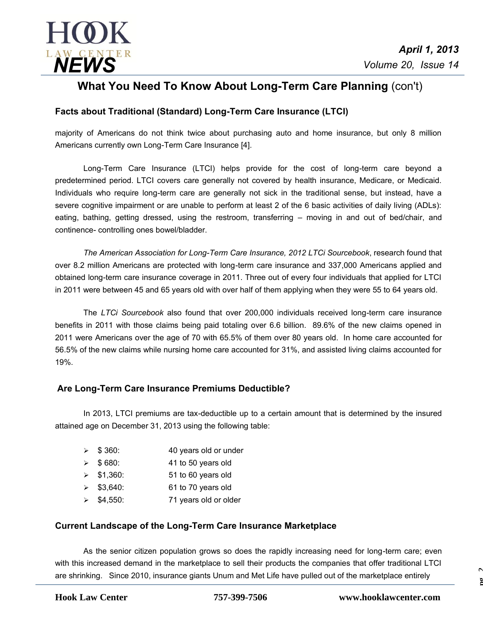

## **What You Need To Know About Long-Term Care Planning** (con't)

## **Facts about Traditional (Standard) Long-Term Care Insurance (LTCI)**

majority of Americans do not think twice about purchasing auto and home insurance, but only 8 million Americans currently own Long-Term Care Insurance [4].

Long-Term Care Insurance (LTCI) helps provide for the cost of long-term care beyond a predetermined period. LTCI covers care generally not covered by health insurance, Medicare, or Medicaid. Individuals who require long-term care are generally not sick in the traditional sense, but instead, have a severe cognitive impairment or are unable to perform at least 2 of the 6 basic activities of daily living (ADLs): eating, bathing, getting dressed, using the restroom, transferring – moving in and out of bed/chair, and continence- controlling ones bowel/bladder.

*The American Association for Long-Term Care Insurance, 2012 LTCi Sourcebook*, research found that over 8.2 million Americans are protected with long-term care insurance and 337,000 Americans applied and obtained long-term care insurance coverage in 2011. Three out of every four individuals that applied for LTCI in 2011 were between 45 and 65 years old with over half of them applying when they were 55 to 64 years old.

The *LTCi Sourcebook* also found that over 200,000 individuals received long-term care insurance benefits in 2011 with those claims being paid totaling over 6.6 billion. 89.6% of the new claims opened in 2011 were Americans over the age of 70 with 65.5% of them over 80 years old. In home care accounted for 56.5% of the new claims while nursing home care accounted for 31%, and assisted living claims accounted for 19%.

## **Are Long-Term Care Insurance Premiums Deductible?**

In 2013, LTCI premiums are tax-deductible up to a certain amount that is determined by the insured attained age on December 31, 2013 using the following table:

- ▶ \$360: 40 years old or under  $\geqslant$  \$ 680: 41 to 50 years old \$1,360: 51 to 60 years old
- $\geq$  \$3,640: 61 to 70 years old
- $\ge$  \$4,550: 71 years old or older

## **Current Landscape of the Long-Term Care Insurance Marketplace**

As the senior citizen population grows so does the rapidly increasing need for long-term care; even with this increased demand in the marketplace to sell their products the companies that offer traditional LTCI are shrinking. Since 2010, insurance giants Unum and Met Life have pulled out of the marketplace entirely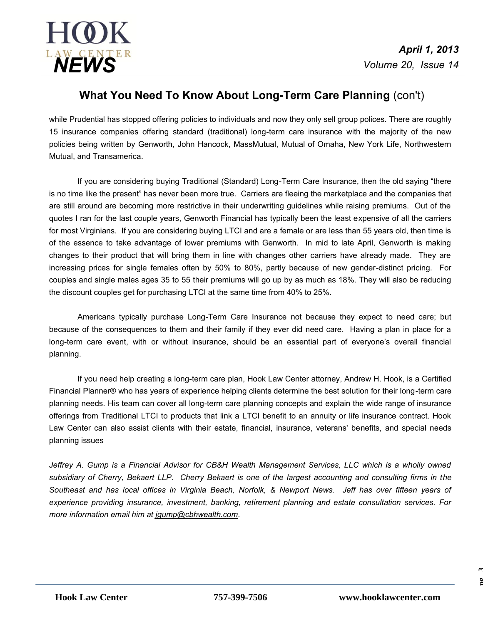

## **What You Need To Know About Long-Term Care Planning** (con't)

while Prudential has stopped offering policies to individuals and now they only sell group polices. There are roughly 15 insurance companies offering standard (traditional) long-term care insurance with the majority of the new policies being written by Genworth, John Hancock, MassMutual, Mutual of Omaha, New York Life, Northwestern Mutual, and Transamerica.

If you are considering buying Traditional (Standard) Long-Term Care Insurance, then the old saying "there is no time like the present" has never been more true. Carriers are fleeing the marketplace and the companies that are still around are becoming more restrictive in their underwriting guidelines while raising premiums. Out of the quotes I ran for the last couple years, Genworth Financial has typically been the least expensive of all the carriers for most Virginians. If you are considering buying LTCI and are a female or are less than 55 years old, then time is of the essence to take advantage of lower premiums with Genworth. In mid to late April, Genworth is making changes to their product that will bring them in line with changes other carriers have already made. They are increasing prices for single females often by 50% to 80%, partly because of new gender-distinct pricing. For couples and single males ages 35 to 55 their premiums will go up by as much as 18%. They will also be reducing the discount couples get for purchasing LTCI at the same time from 40% to 25%.

Americans typically purchase Long-Term Care Insurance not because they expect to need care; but because of the consequences to them and their family if they ever did need care. Having a plan in place for a long-term care event, with or without insurance, should be an essential part of everyone's overall financial planning.

If you need help creating a long-term care plan, Hook Law Center attorney, Andrew H. Hook, is a Certified Financial Planner® who has years of experience helping clients determine the best solution for their long-term care planning needs. His team can cover all long-term care planning concepts and explain the wide range of insurance offerings from Traditional LTCI to products that link a LTCI benefit to an annuity or life insurance contract. Hook Law Center can also assist clients with their estate, financial, insurance, veterans' benefits, and special needs planning issues

*Jeffrey A. Gump is a Financial Advisor for CB&H Wealth Management Services, LLC which is a wholly owned subsidiary of Cherry, Bekaert LLP. Cherry Bekaert is one of the largest accounting and consulting firms in the Southeast and has local offices in Virginia Beach, Norfolk, & Newport News. Jeff has over fifteen years of experience providing insurance, investment, banking, retirement planning and estate consultation services. For more information email him at [jgump@cbhwealth.com](mailto:jgump@cbhwealth.com)*.

**pg 3**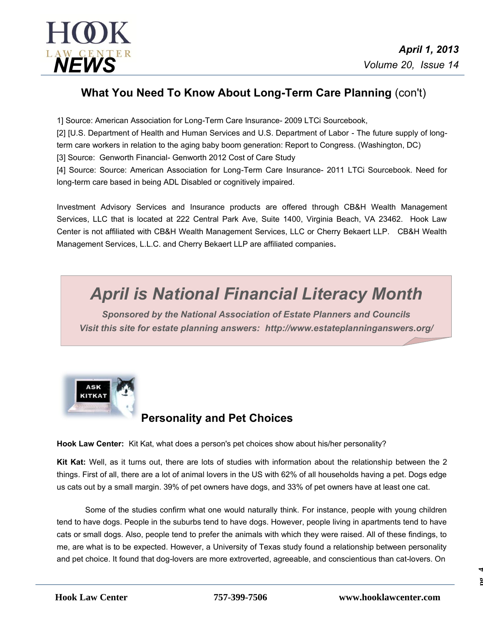

## **What You Need To Know About Long-Term Care Planning** (con't)

1] Source: American Association for Long-Term Care Insurance-2009 LTCi Sourcebook,

[2] [U.S. Department of Health and Human Services and U.S. Department of Labor - The future supply of longterm care workers in relation to the aging baby boom generation: Report to Congress. (Washington, DC)

[3] Source: Genworth Financial- Genworth 2012 Cost of Care Study

[4] Source: Source: American Association for Long-Term Care Insurance- 2011 LTCi Sourcebook. Need for long-term care based in being ADL Disabled or cognitively impaired.

Investment Advisory Services and Insurance products are offered through CB&H Wealth Management Services, LLC that is located at 222 Central Park Ave, Suite 1400, Virginia Beach, VA 23462. Hook Law Center is not affiliated with CB&H Wealth Management Services, LLC or Cherry Bekaert LLP. CB&H Wealth Management Services, L.L.C. and Cherry Bekaert LLP are affiliated companies**.** 

# *April is National Financial Literacy Month*

*Sponsored by the National Association of Estate Planners and Councils Visit this site for estate planning answers: http://www.estateplanninganswers.org/*



## **Personality and Pet Choices**

**Hook Law Center:** Kit Kat, what does a person's pet choices show about his/her personality?

**Kit Kat:** Well, as it turns out, there are lots of studies with information about the relationship between the 2 things. First of all, there are a lot of animal lovers in the US with 62% of all households having a pet. Dogs edge us cats out by a small margin. 39% of pet owners have dogs, and 33% of pet owners have at least one cat.

Some of the studies confirm what one would naturally think. For instance, people with young children tend to have dogs. People in the suburbs tend to have dogs. However, people living in apartments tend to have cats or small dogs. Also, people tend to prefer the animals with which they were raised. All of these findings, to me, are what is to be expected. However, a University of Texas study found a relationship between personality and pet choice. It found that dog-lovers are more extroverted, agreeable, and conscientious than cat-lovers. On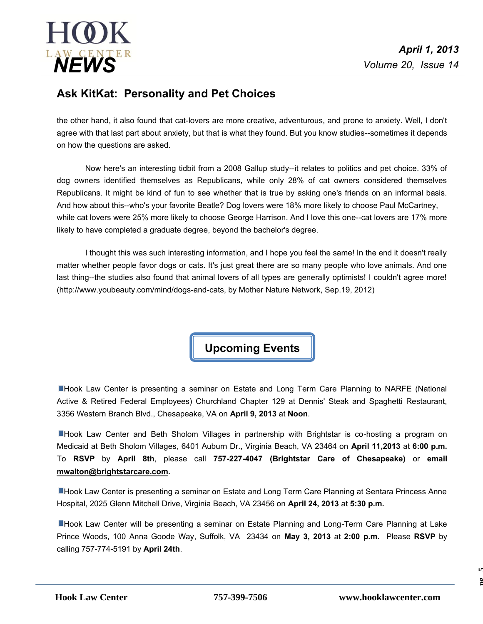

## **Ask KitKat: Personality and Pet Choices**

the other hand, it also found that cat-lovers are more creative, adventurous, and prone to anxiety. Well, I don't agree with that last part about anxiety, but that is what they found. But you know studies--sometimes it depends on how the questions are asked.

Now here's an interesting tidbit from a 2008 Gallup study--it relates to politics and pet choice. 33% of dog owners identified themselves as Republicans, while only 28% of cat owners considered themselves Republicans. It might be kind of fun to see whether that is true by asking one's friends on an informal basis. And how about this--who's your favorite Beatle? Dog lovers were 18% more likely to choose Paul McCartney, while cat lovers were 25% more likely to choose George Harrison. And I love this one--cat lovers are 17% more likely to have completed a graduate degree, beyond the bachelor's degree.

I thought this was such interesting information, and I hope you feel the same! In the end it doesn't really matter whether people favor dogs or cats. It's just great there are so many people who love animals. And one last thing--the studies also found that animal lovers of all types are generally optimists! I couldn't agree more! (http://www.youbeauty.com/mind/dogs-and-cats, by Mother Nature Network, Sep.19, 2012)

**Upcoming Events**

**EHook Law Center is presenting a seminar on Estate and Long Term Care Planning to NARFE (National** Active & Retired Federal Employees) Churchland Chapter 129 at Dennis' Steak and Spaghetti Restaurant, 3356 Western Branch Blvd., Chesapeake, VA on **April 9, 2013** at **Noon**.

**E**Hook Law Center and Beth Sholom Villages in partnership with Brightstar is co-hosting a program on Medicaid at Beth Sholom Villages, 6401 Auburn Dr., Virginia Beach, VA 23464 on **April 11,2013** at **6:00 p.m.** To **RSVP** by **April 8th**, please call **757-227-4047 (Brightstar Care of Chesapeake)** or **email [mwalton@brightstarcare.com.](mailto:mwalton@brightstarcare.com)**

**Hook Law Center is presenting a seminar on Estate and Long Term Care Planning at Sentara Princess Anne** Hospital, 2025 Glenn Mitchell Drive, Virginia Beach, VA 23456 on **April 24, 2013** at **5:30 p.m.**

**Hook Law Center will be presenting a seminar on Estate Planning and Long-Term Care Planning at Lake** Prince Woods, 100 Anna Goode Way, Suffolk, VA 23434 on **May 3, 2013** at **2:00 p.m.** Please **RSVP** by calling 757-774-5191by **April 24th**.